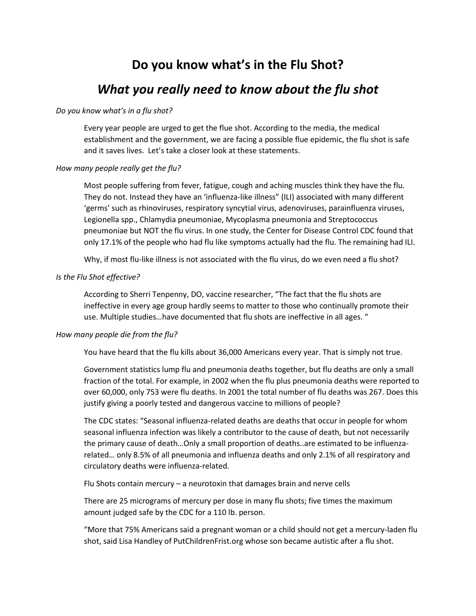## **Do you know what's in the Flu Shot?**

## *What you really need to know about the flu shot*

### *Do you know what's in a flu shot?*

Every year people are urged to get the flue shot. According to the media, the medical establishment and the government, we are facing a possible flue epidemic, the flu shot is safe and it saves lives. Let's take a closer look at these statements.

## *How many people really get the flu?*

Most people suffering from fever, fatigue, cough and aching muscles think they have the flu. They do not. Instead they have an 'influenza-like illness" (ILI) associated with many different 'germs' such as rhinoviruses, respiratory syncytial virus, adenoviruses, parainfluenza viruses, Legionella spp., Chlamydia pneumoniae, Mycoplasma pneumonia and Streptococcus pneumoniae but NOT the flu virus. In one study, the Center for Disease Control CDC found that only 17.1% of the people who had flu like symptoms actually had the flu. The remaining had ILI.

Why, if most flu-like illness is not associated with the flu virus, do we even need a flu shot?

## *Is the Flu Shot effective?*

According to Sherri Tenpenny, DO, vaccine researcher, "The fact that the flu shots are ineffective in every age group hardly seems to matter to those who continually promote their use. Multiple studies…have documented that flu shots are ineffective in all ages. "

### *How many people die from the flu?*

You have heard that the flu kills about 36,000 Americans every year. That is simply not true.

Government statistics lump flu and pneumonia deaths together, but flu deaths are only a small fraction of the total. For example, in 2002 when the flu plus pneumonia deaths were reported to over 60,000, only 753 were flu deaths. In 2001 the total number of flu deaths was 267. Does this justify giving a poorly tested and dangerous vaccine to millions of people?

The CDC states: "Seasonal influenza-related deaths are deaths that occur in people for whom seasonal influenza infection was likely a contributor to the cause of death, but not necessarily the primary cause of death…Only a small proportion of deaths..are estimated to be influenzarelated… only 8.5% of all pneumonia and influenza deaths and only 2.1% of all respiratory and circulatory deaths were influenza-related.

Flu Shots contain mercury – a neurotoxin that damages brain and nerve cells

There are 25 micrograms of mercury per dose in many flu shots; five times the maximum amount judged safe by the CDC for a 110 lb. person.

"More that 75% Americans said a pregnant woman or a child should not get a mercury-laden flu shot, said Lisa Handley of PutChildrenFrist.org whose son became autistic after a flu shot.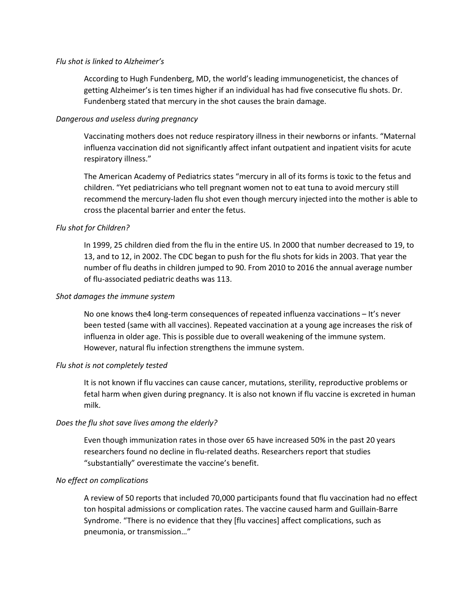### *Flu shot is linked to Alzheimer's*

According to Hugh Fundenberg, MD, the world's leading immunogeneticist, the chances of getting Alzheimer's is ten times higher if an individual has had five consecutive flu shots. Dr. Fundenberg stated that mercury in the shot causes the brain damage.

## *Dangerous and useless during pregnancy*

Vaccinating mothers does not reduce respiratory illness in their newborns or infants. "Maternal influenza vaccination did not significantly affect infant outpatient and inpatient visits for acute respiratory illness."

The American Academy of Pediatrics states "mercury in all of its forms is toxic to the fetus and children. "Yet pediatricians who tell pregnant women not to eat tuna to avoid mercury still recommend the mercury-laden flu shot even though mercury injected into the mother is able to cross the placental barrier and enter the fetus.

## *Flu shot for Children?*

In 1999, 25 children died from the flu in the entire US. In 2000 that number decreased to 19, to 13, and to 12, in 2002. The CDC began to push for the flu shots for kids in 2003. That year the number of flu deaths in children jumped to 90. From 2010 to 2016 the annual average number of flu-associated pediatric deaths was 113.

## *Shot damages the immune system*

No one knows the4 long-term consequences of repeated influenza vaccinations – It's never been tested (same with all vaccines). Repeated vaccination at a young age increases the risk of influenza in older age. This is possible due to overall weakening of the immune system. However, natural flu infection strengthens the immune system.

## *Flu shot is not completely tested*

It is not known if flu vaccines can cause cancer, mutations, sterility, reproductive problems or fetal harm when given during pregnancy. It is also not known if flu vaccine is excreted in human milk.

## *Does the flu shot save lives among the elderly?*

Even though immunization rates in those over 65 have increased 50% in the past 20 years researchers found no decline in flu-related deaths. Researchers report that studies "substantially" overestimate the vaccine's benefit.

## *No effect on complications*

A review of 50 reports that included 70,000 participants found that flu vaccination had no effect ton hospital admissions or complication rates. The vaccine caused harm and Guillain-Barre Syndrome. "There is no evidence that they [flu vaccines] affect complications, such as pneumonia, or transmission…"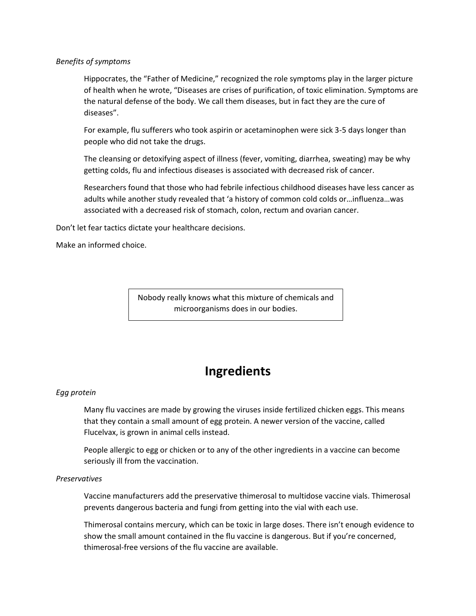## *Benefits of symptoms*

Hippocrates, the "Father of Medicine," recognized the role symptoms play in the larger picture of health when he wrote, "Diseases are crises of purification, of toxic elimination. Symptoms are the natural defense of the body. We call them diseases, but in fact they are the cure of diseases".

For example, flu sufferers who took aspirin or acetaminophen were sick 3-5 days longer than people who did not take the drugs.

The cleansing or detoxifying aspect of illness (fever, vomiting, diarrhea, sweating) may be why getting colds, flu and infectious diseases is associated with decreased risk of cancer.

Researchers found that those who had febrile infectious childhood diseases have less cancer as adults while another study revealed that 'a history of common cold colds or…influenza…was associated with a decreased risk of stomach, colon, rectum and ovarian cancer.

Don't let fear tactics dictate your healthcare decisions.

Make an informed choice.

Nobody really knows what this mixture of chemicals and microorganisms does in our bodies.

# **Ingredients**

## *Egg protein*

Many flu vaccines are made by growing the viruses inside fertilized chicken eggs. This means that they contain a small amount of egg protein. A newer version of the vaccine, called Flucelvax, is grown in animal cells instead.

People allergic to egg or chicken or to any of the other ingredients in a vaccine can become seriously ill from the vaccination.

## *Preservatives*

Vaccine manufacturers add the preservative thimerosal to multidose vaccine vials. Thimerosal prevents dangerous bacteria and fungi from getting into the vial with each use.

Thimerosal contains mercury, which can be toxic in large doses. There isn't enough evidence to show the small amount contained in the flu vaccine is dangerous. But if you're concerned, thimerosal-free versions of the flu vaccine are available.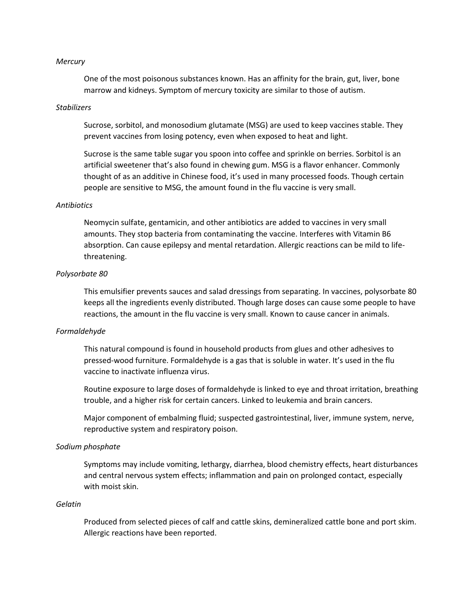#### *Mercury*

One of the most poisonous substances known. Has an affinity for the brain, gut, liver, bone marrow and kidneys. Symptom of mercury toxicity are similar to those of autism.

### *Stabilizers*

Sucrose, sorbitol, and monosodium glutamate (MSG) are used to keep vaccines stable. They prevent vaccines from losing potency, even when exposed to heat and light.

Sucrose is the same table sugar you spoon into coffee and sprinkle on berries. Sorbitol is an artificial sweetener that's also found in chewing gum. MSG is a flavor enhancer. Commonly thought of as an additive in Chinese food, it's used in many processed foods. Though certain people are sensitive to MSG, the amount found in the flu vaccine is very small.

### *Antibiotics*

Neomycin sulfate, gentamicin, and other antibiotics are added to vaccines in very small amounts. They stop bacteria from contaminating the vaccine. Interferes with Vitamin B6 absorption. Can cause epilepsy and mental retardation. Allergic reactions can be mild to lifethreatening.

## *Polysorbate 80*

This emulsifier prevents sauces and salad dressings from separating. In vaccines, polysorbate 80 keeps all the ingredients evenly distributed. Though large doses can cause some people to have reactions, the amount in the flu vaccine is very small. Known to cause cancer in animals.

### *Formaldehyde*

This natural compound is found in household products from glues and other adhesives to pressed-wood furniture. Formaldehyde is a gas that is soluble in water. It's used in the flu vaccine to inactivate influenza virus.

Routine exposure to large doses of formaldehyde is linked to eye and throat irritation, breathing trouble, and a higher risk for certain cancers. Linked to leukemia and brain cancers.

Major component of embalming fluid; suspected gastrointestinal, liver, immune system, nerve, reproductive system and respiratory poison.

#### *Sodium phosphate*

Symptoms may include vomiting, lethargy, diarrhea, blood chemistry effects, heart disturbances and central nervous system effects; inflammation and pain on prolonged contact, especially with moist skin.

## *Gelatin*

Produced from selected pieces of calf and cattle skins, demineralized cattle bone and port skim. Allergic reactions have been reported.